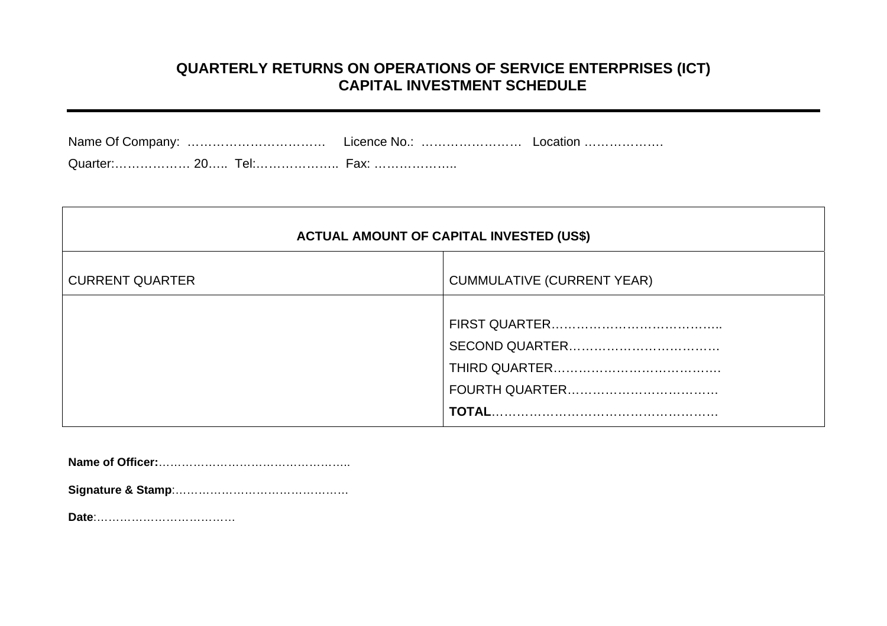#### **QUARTERLY RETURNS ON OPERATIONS OF SERVICE ENTERPRISES (ICT) CAPITAL INVESTMENT SCHEDULE**

| <b>ACTUAL AMOUNT OF CAPITAL INVESTED (US\$)</b> |                                   |  |
|-------------------------------------------------|-----------------------------------|--|
| <b>CURRENT QUARTER</b>                          | <b>CUMMULATIVE (CURRENT YEAR)</b> |  |
|                                                 |                                   |  |

**Name of Officer:**…………………………………………..

**Signature & Stamp**:………………………………………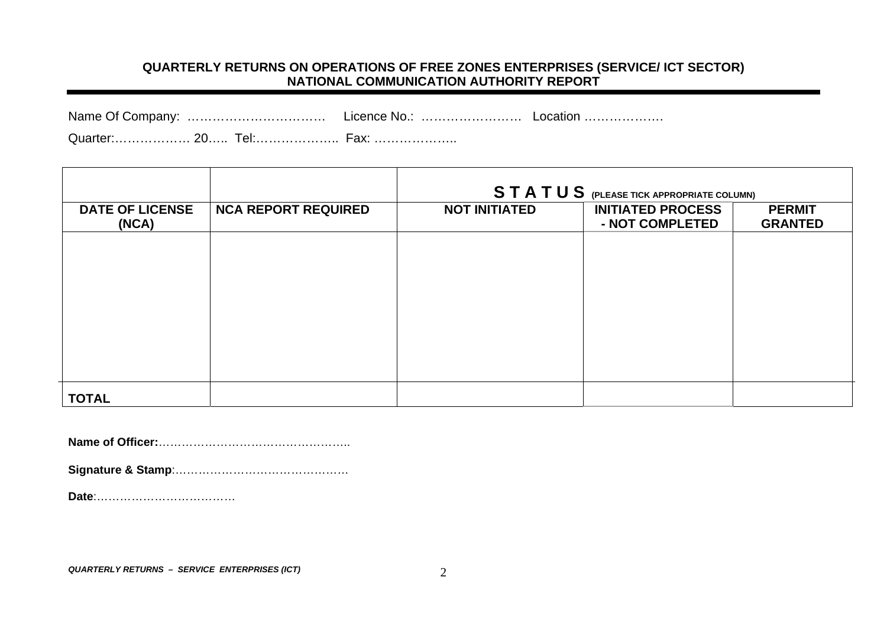#### **QUARTERLY RETURNS ON OPERATIONS OF FREE ZONES ENTERPRISES (SERVICE/ ICT SECTOR) NATIONAL COMMUNICATION AUTHORITY REPORT**

| Name Of Company: | Licence No.: | Location |
|------------------|--------------|----------|
|------------------|--------------|----------|

Quarter:……………… 20….. Tel:……………….. Fax: ………………..

|                                 |                            |                      | STATUS (PLEASE TICK APPROPRIATE COLUMN)     |                                 |
|---------------------------------|----------------------------|----------------------|---------------------------------------------|---------------------------------|
| <b>DATE OF LICENSE</b><br>(NCA) | <b>NCA REPORT REQUIRED</b> | <b>NOT INITIATED</b> | <b>INITIATED PROCESS</b><br>- NOT COMPLETED | <b>PERMIT</b><br><b>GRANTED</b> |
|                                 |                            |                      |                                             |                                 |
|                                 |                            |                      |                                             |                                 |
|                                 |                            |                      |                                             |                                 |
|                                 |                            |                      |                                             |                                 |
|                                 |                            |                      |                                             |                                 |
| <b>TOTAL</b>                    |                            |                      |                                             |                                 |

**Name of Officer:**…………………………………………..

**Signature & Stamp**:………………………………………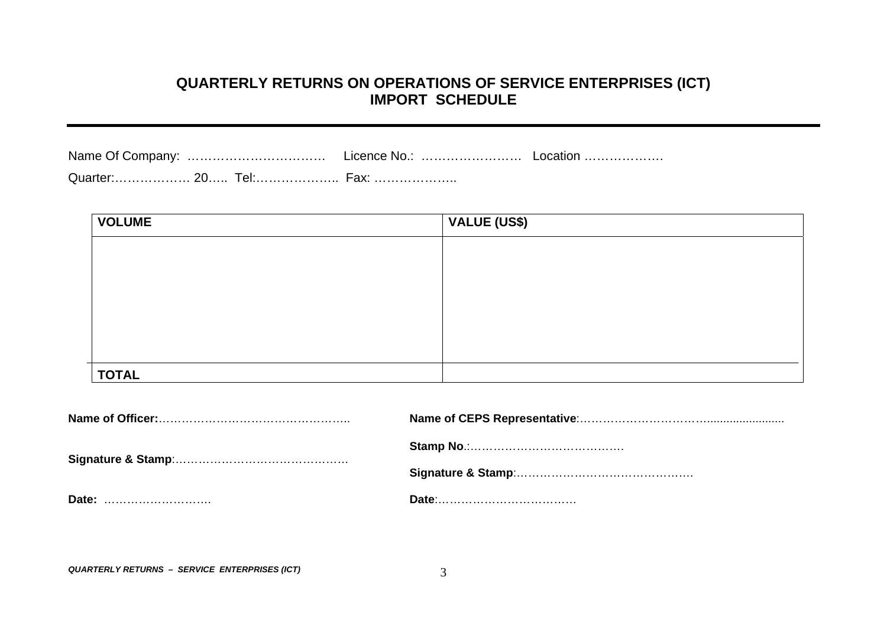#### **QUARTERLY RETURNS ON OPERATIONS OF SERVICE ENTERPRISES (ICT) IMPORT SCHEDULE**

|  | Fax: |  |
|--|------|--|

| <b>VOLUME</b> | VALUE (US\$) |
|---------------|--------------|
|               |              |
|               |              |
|               |              |
|               |              |
|               |              |
|               |              |
| <b>TOTAL</b>  |              |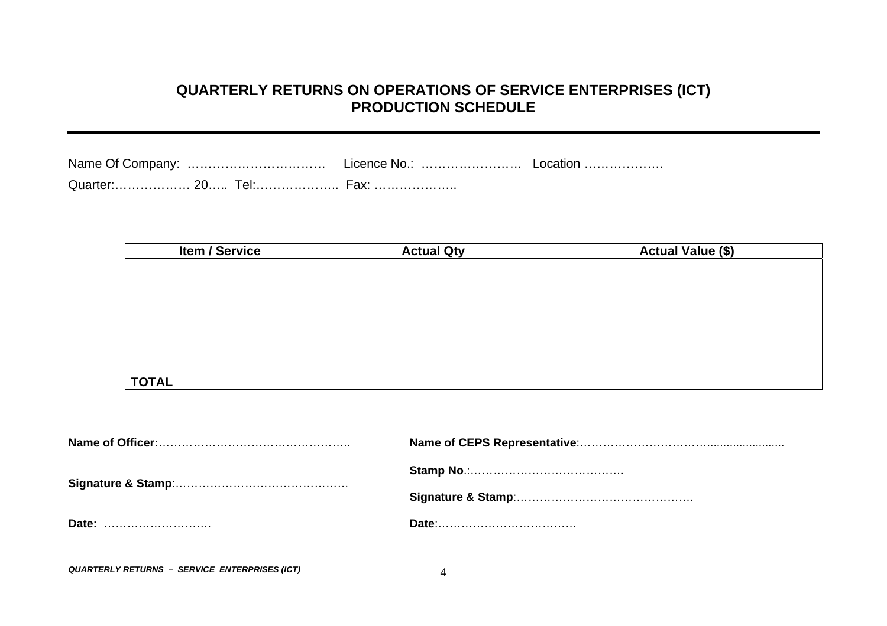# **QUARTERLY RETURNS ON OPERATIONS OF SERVICE ENTERPRISES (ICT) PRODUCTION SCHEDULE**

| Quarter: 20 Tel: Fax: |  |  |
|-----------------------|--|--|

| <b>Item / Service</b> | <b>Actual Qty</b> | <b>Actual Value (\$)</b> |
|-----------------------|-------------------|--------------------------|
|                       |                   |                          |
|                       |                   |                          |
|                       |                   |                          |
|                       |                   |                          |
|                       |                   |                          |
|                       |                   |                          |
|                       |                   |                          |
| <b>TOTAL</b>          |                   |                          |

| Date: |  |
|-------|--|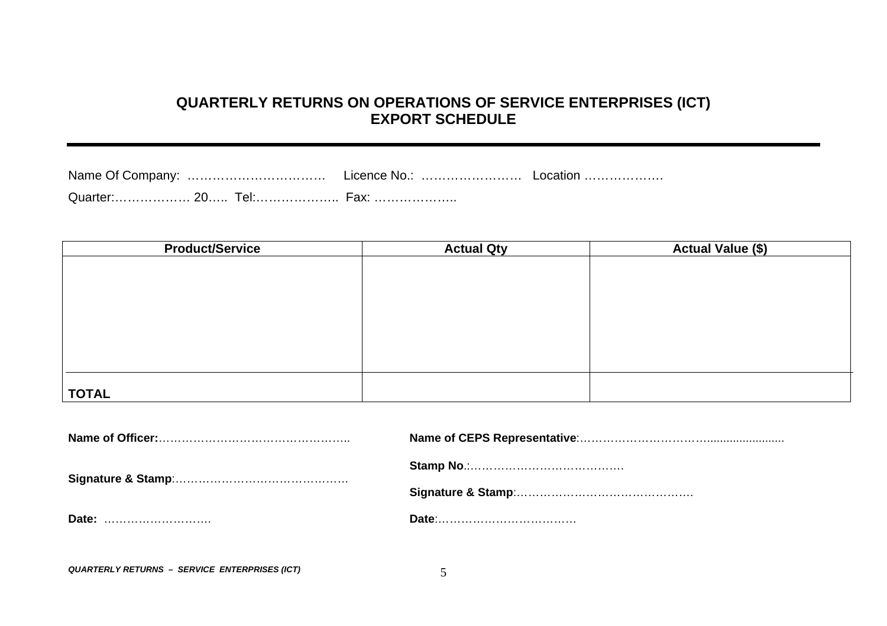## **QUARTERLY RETURNS ON OPERATIONS OF SERVICE ENTERPRISES (ICT) EXPORT SCHEDULE**

Name Of Company: ……………………………………… Licence No.: ………………………………………………………………………………………… Quarter:……………… 20….. Tel:……………….. Fax: ………………..

| <b>Product/Service</b> | <b>Actual Qty</b> | <b>Actual Value (\$)</b> |
|------------------------|-------------------|--------------------------|
|                        |                   |                          |
|                        |                   |                          |
|                        |                   |                          |
|                        |                   |                          |
|                        |                   |                          |
|                        |                   |                          |
|                        |                   |                          |
|                        |                   |                          |
| <b>TOTAL</b>           |                   |                          |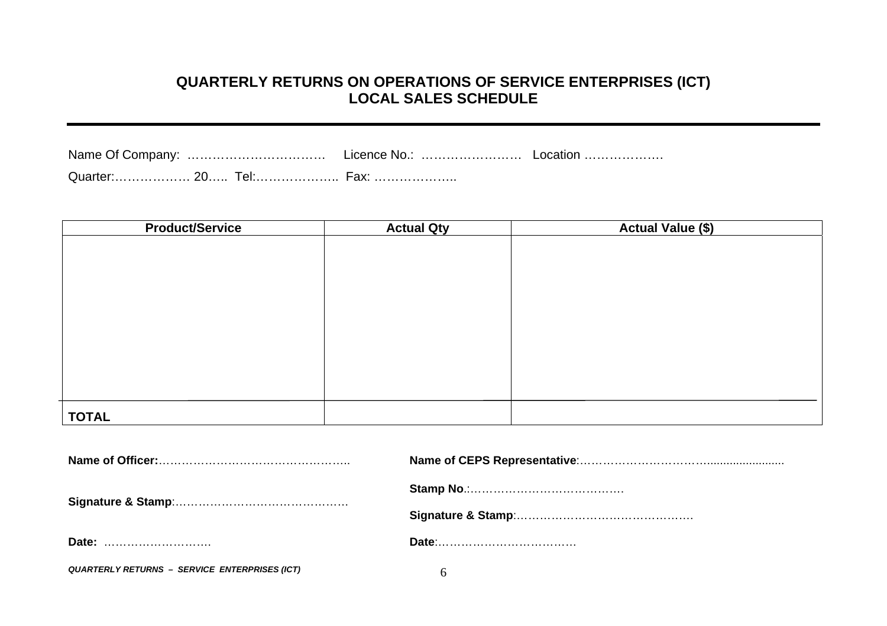# **QUARTERLY RETURNS ON OPERATIONS OF SERVICE ENTERPRISES (ICT) LOCAL SALES SCHEDULE**

|  | Quarter: 20 Tel: Fax: |  |
|--|-----------------------|--|

| <b>Product/Service</b> | <b>Actual Qty</b> | <b>Actual Value (\$)</b> |
|------------------------|-------------------|--------------------------|
|                        |                   |                          |
|                        |                   |                          |
|                        |                   |                          |
|                        |                   |                          |
|                        |                   |                          |
|                        |                   |                          |
|                        |                   |                          |
|                        |                   |                          |
|                        |                   |                          |
|                        |                   |                          |
|                        |                   |                          |
| <b>TOTAL</b>           |                   |                          |

| Date:                                         |  |  |  |  |  |  |
|-----------------------------------------------|--|--|--|--|--|--|
| QUARTERLY RETURNS - SERVICE ENTERPRISES (ICT) |  |  |  |  |  |  |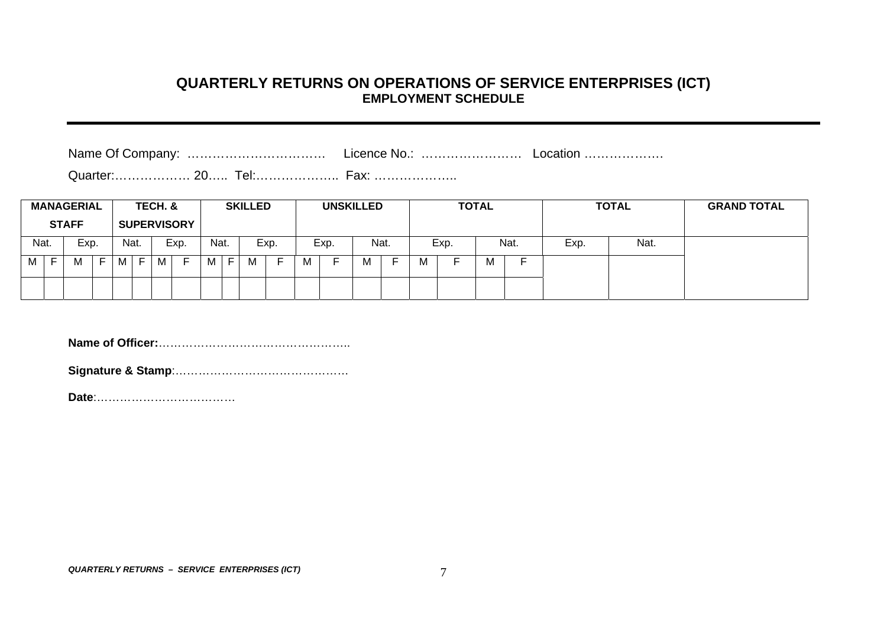#### **QUARTERLY RETURNS ON OPERATIONS OF SERVICE ENTERPRISES (ICT) EMPLOYMENT SCHEDULE**

Name Of Company: …………………………………………… Licence No.: ………………………………………………………………………………………

|      |   | <b>MANAGERIAL</b><br><b>STAFF</b> |        |      |   | TECH. & | <b>SUPERVISORY</b> |      |   | <b>SKILLED</b> |      |   | <b>UNSKILLED</b> |   |      |   |      | <b>TOTAL</b> |      |      | <b>TOTAL</b> | <b>GRAND TOTAL</b> |
|------|---|-----------------------------------|--------|------|---|---------|--------------------|------|---|----------------|------|---|------------------|---|------|---|------|--------------|------|------|--------------|--------------------|
| Nat. |   | Exp.                              |        | Nat. |   |         | Exp.               | Nat. |   |                | Exp. |   | Exp.             |   | Nat. |   | Exp. |              | Nat. | Exp. | Nat.         |                    |
| М    | Е | M                                 | -<br>► | M    | F | М       |                    | М    | Е |                |      | м |                  | M |      | м |      | м            |      |      |              |                    |
|      |   |                                   |        |      |   |         |                    |      |   |                |      |   |                  |   |      |   |      |              |      |      |              |                    |

**Name of Officer:**…………………………………………..

**Signature & Stamp**:………………………………………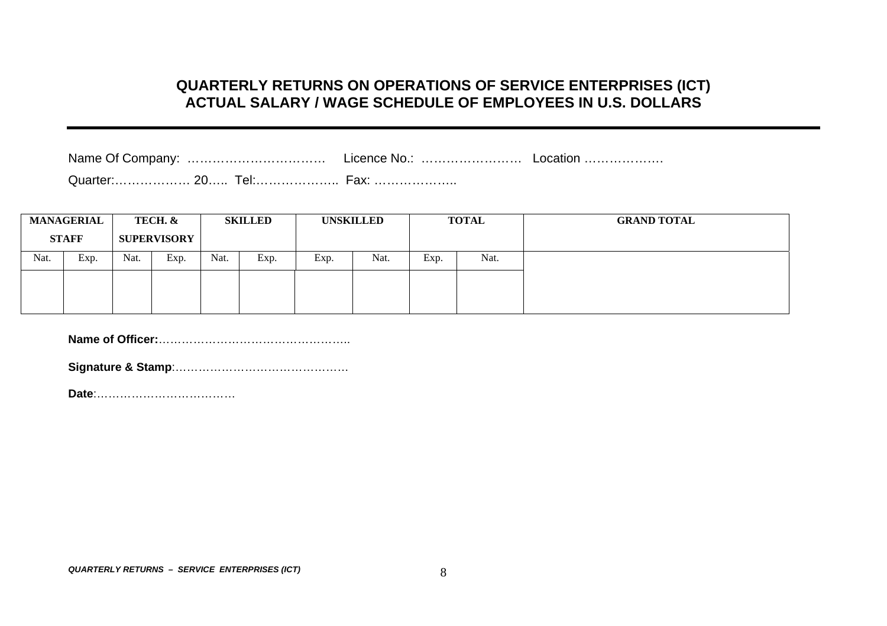#### **QUARTERLY RETURNS ON OPERATIONS OF SERVICE ENTERPRISES (ICT) ACTUAL SALARY / WAGE SCHEDULE OF EMPLOYEES IN U.S. DOLLARS**

|--|--|--|

Quarter:……………… 20….. Tel:……………….. Fax: ………………..

| <b>MANAGERIAL</b> |              | TECH. & |                    | <b>SKILLED</b> |      | <b>UNSKILLED</b> |      | <b>TOTAL</b> |      | <b>GRAND TOTAL</b> |
|-------------------|--------------|---------|--------------------|----------------|------|------------------|------|--------------|------|--------------------|
|                   | <b>STAFF</b> |         | <b>SUPERVISORY</b> |                |      |                  |      |              |      |                    |
| Nat.              | Exp.         | Nat.    | Exp.               | Nat.           | Exp. | Exp.             | Nat. | Exp.         | Nat. |                    |
|                   |              |         |                    |                |      |                  |      |              |      |                    |
|                   |              |         |                    |                |      |                  |      |              |      |                    |

**Name of Officer:**…………………………………………..

**Signature & Stamp**:………………………………………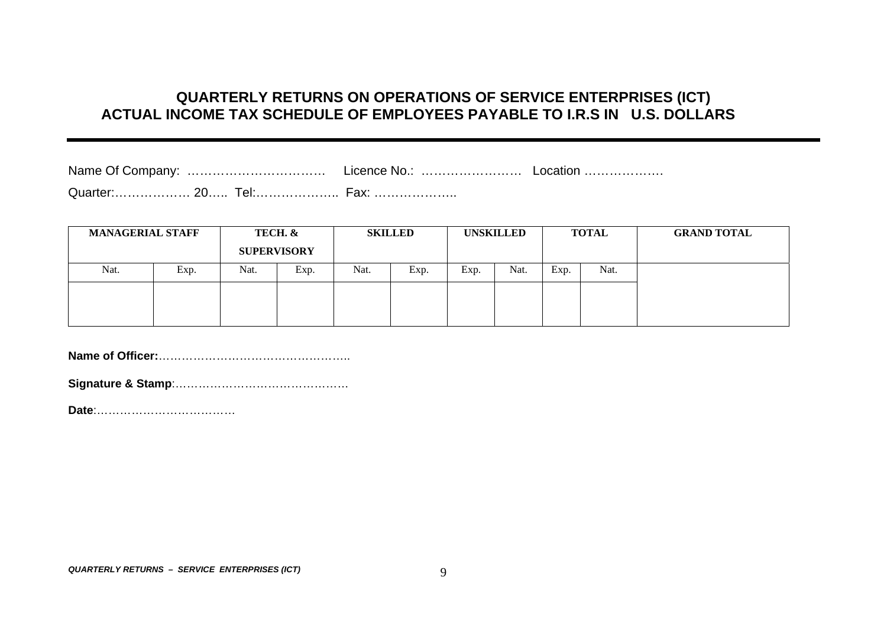# **QUARTERLY RETURNS ON OPERATIONS OF SERVICE ENTERPRISES (ICT) ACTUAL INCOME TAX SCHEDULE OF EMPLOYEES PAYABLE TO I.R.S IN U.S. DOLLARS**

| Name Of Company:             | Licence No.              | LOCAtion |
|------------------------------|--------------------------|----------|
| Quarter: 20<br><u> I el:</u> | $\vdash$ $\mathsf{QV}^r$ |          |

| <b>MANAGERIAL STAFF</b> |      | TECH. &<br><b>SUPERVISORY</b> |      | <b>SKILLED</b> |      | <b>UNSKILLED</b> |      | <b>TOTAL</b> |      | <b>GRAND TOTAL</b> |
|-------------------------|------|-------------------------------|------|----------------|------|------------------|------|--------------|------|--------------------|
| Nat.                    | Exp. | Nat.                          | Exp. | Nat.           | Exp. | Exp.             | Nat. | Exp.         | Nat. |                    |
|                         |      |                               |      |                |      |                  |      |              |      |                    |
|                         |      |                               |      |                |      |                  |      |              |      |                    |

**Name of Officer:**…………………………………………..

**Signature & Stamp**:…………… …………… ……………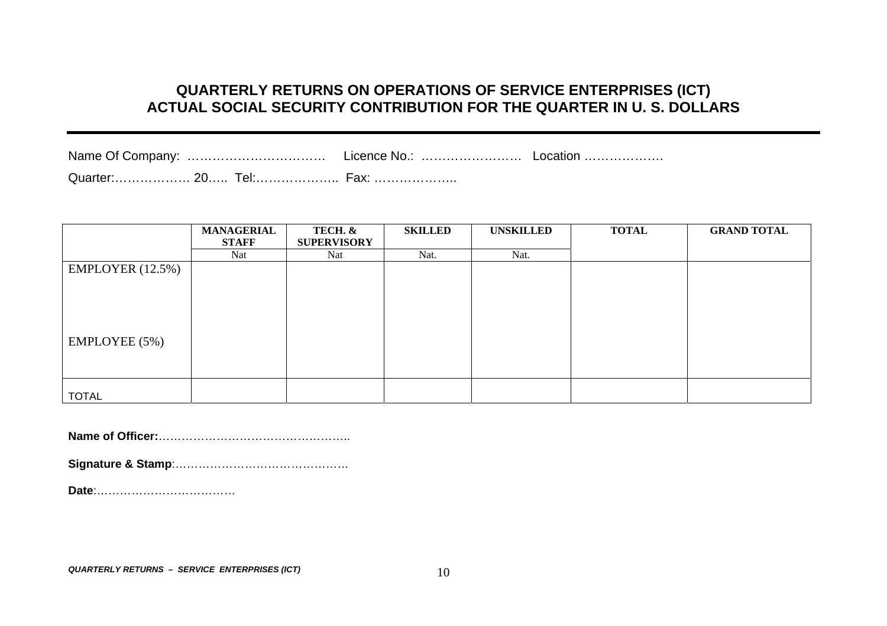# **QUARTERLY RETURNS ON OPERATIONS OF SERVICE ENTERPRISES (ICT) ACTUAL SOCIAL SECURITY CONTRIBUTION FOR THE QUARTER IN U. S. DOLLARS**

| Name Of Company: |  | Licence No.: | LOCAtion |
|------------------|--|--------------|----------|
|                  |  |              |          |

|                  | <b>MANAGERIAL</b> | TECH. &            | <b>SKILLED</b> | <b>UNSKILLED</b> | <b>TOTAL</b> | <b>GRAND TOTAL</b> |
|------------------|-------------------|--------------------|----------------|------------------|--------------|--------------------|
|                  | <b>STAFF</b>      | <b>SUPERVISORY</b> |                |                  |              |                    |
|                  | Nat               | Nat                | Nat.           | Nat.             |              |                    |
| EMPLOYER (12.5%) |                   |                    |                |                  |              |                    |
|                  |                   |                    |                |                  |              |                    |
|                  |                   |                    |                |                  |              |                    |
|                  |                   |                    |                |                  |              |                    |
|                  |                   |                    |                |                  |              |                    |
| EMPLOYEE (5%)    |                   |                    |                |                  |              |                    |
|                  |                   |                    |                |                  |              |                    |
|                  |                   |                    |                |                  |              |                    |
| <b>TOTAL</b>     |                   |                    |                |                  |              |                    |
|                  |                   |                    |                |                  |              |                    |

**Name of Officer:**…………………………………………..

**Signature & Stamp**:…………… …………… ……………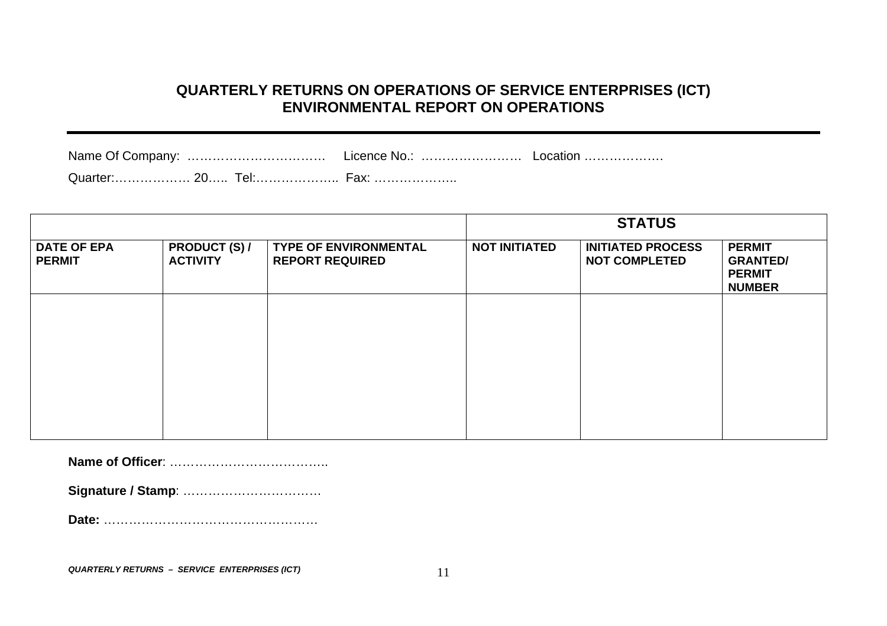# **QUARTERLY RETURNS ON OPERATIONS OF SERVICE ENTERPRISES (ICT) ENVIRONMENTAL REPORT ON OPERATIONS**

| Licence No.: | Location |
|--------------|----------|
|              |          |

Quarter:……………… 20….. Tel:……………….. Fax: ………………..

|                                     |                                         |                                                        | <b>STATUS</b>        |                                                  |                                                                    |  |  |  |
|-------------------------------------|-----------------------------------------|--------------------------------------------------------|----------------------|--------------------------------------------------|--------------------------------------------------------------------|--|--|--|
| <b>DATE OF EPA</b><br><b>PERMIT</b> | <b>PRODUCT (S) /</b><br><b>ACTIVITY</b> | <b>TYPE OF ENVIRONMENTAL</b><br><b>REPORT REQUIRED</b> | <b>NOT INITIATED</b> | <b>INITIATED PROCESS</b><br><b>NOT COMPLETED</b> | <b>PERMIT</b><br><b>GRANTED/</b><br><b>PERMIT</b><br><b>NUMBER</b> |  |  |  |
|                                     |                                         |                                                        |                      |                                                  |                                                                    |  |  |  |
|                                     |                                         |                                                        |                      |                                                  |                                                                    |  |  |  |
|                                     |                                         |                                                        |                      |                                                  |                                                                    |  |  |  |
|                                     |                                         |                                                        |                      |                                                  |                                                                    |  |  |  |

**Name of Officer**: ………………………………..

**Signature / Stamp**: ……………………………

**Date:** ……………………………………………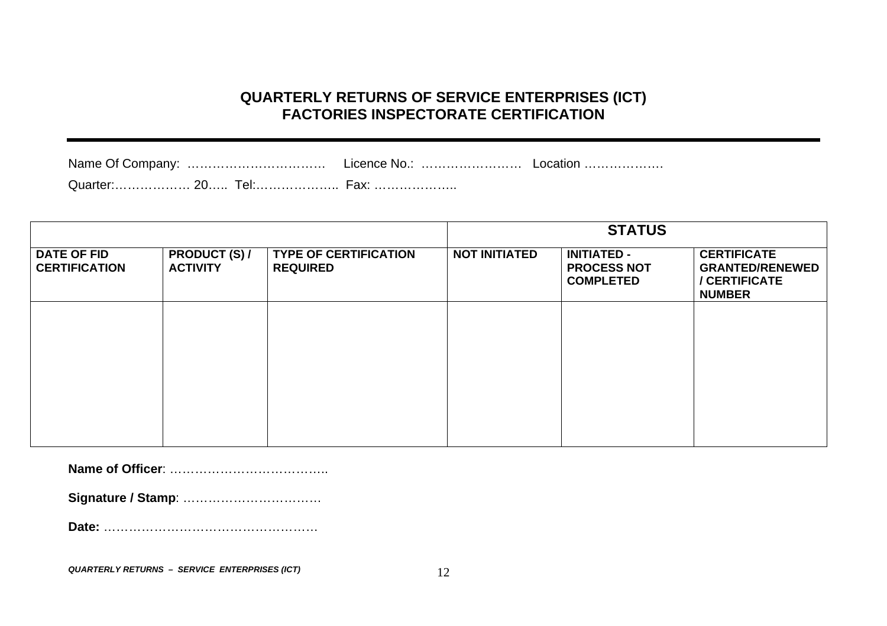# **QUARTERLY RETURNS OF SERVICE ENTERPRISES (ICT) FACTORIES INSPECTORATE CERTIFICATION**

| Name Of Company: | Licence No. | LOCAtion |  |  |
|------------------|-------------|----------|--|--|
|                  |             |          |  |  |

|                                            |                                         |                                                 |                      | <b>STATUS</b>                                                |                                                                                |
|--------------------------------------------|-----------------------------------------|-------------------------------------------------|----------------------|--------------------------------------------------------------|--------------------------------------------------------------------------------|
| <b>DATE OF FID</b><br><b>CERTIFICATION</b> | <b>PRODUCT (S) /</b><br><b>ACTIVITY</b> | <b>TYPE OF CERTIFICATION</b><br><b>REQUIRED</b> | <b>NOT INITIATED</b> | <b>INITIATED -</b><br><b>PROCESS NOT</b><br><b>COMPLETED</b> | <b>CERTIFICATE</b><br><b>GRANTED/RENEWED</b><br>/ CERTIFICATE<br><b>NUMBER</b> |
|                                            |                                         |                                                 |                      |                                                              |                                                                                |
|                                            |                                         |                                                 |                      |                                                              |                                                                                |
|                                            |                                         |                                                 |                      |                                                              |                                                                                |
|                                            |                                         |                                                 |                      |                                                              |                                                                                |

**Name of Officer**: ………………………………..

**Signature / Stamp**: ……………………………

**Date:** ……………………………………………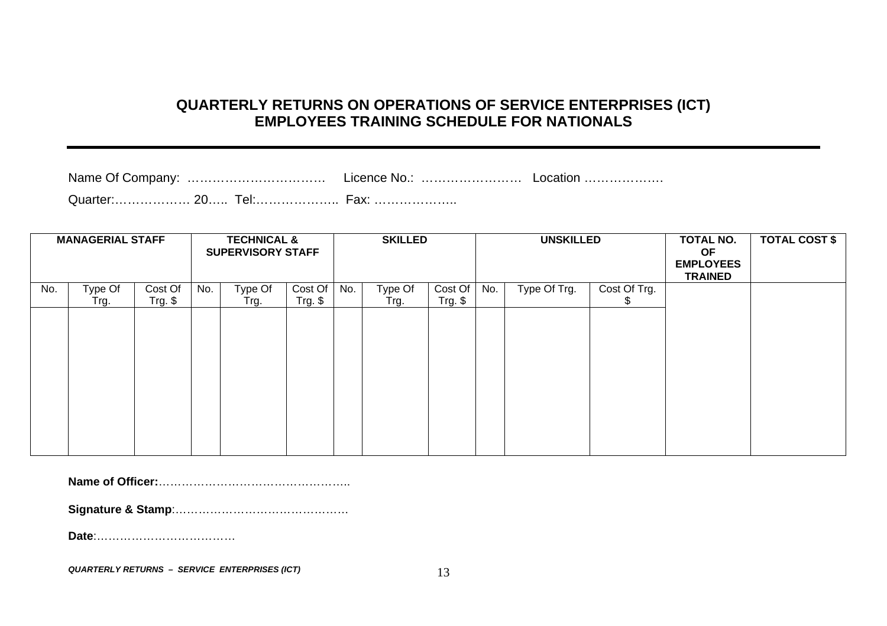# **QUARTERLY RETURNS ON OPERATIONS OF SERVICE ENTERPRISES (ICT) EMPLOYEES TRAINING SCHEDULE FOR NATIONALS**

Name Of Company: ……………………………………… Licence No.: …………………………………………………………………………………………

Quarter:……………… 20….. Tel:……………….. Fax: ………………..

| <b>MANAGERIAL STAFF</b> |         |                      | <b>TECHNICAL &amp;</b><br><b>SUPERVISORY STAFF</b> |         |                      | <b>SKILLED</b> |         | <b>UNSKILLED</b>     |     | TOTAL NO.<br>OF<br><b>EMPLOYEES</b><br><b>TRAINED</b> | <b>TOTAL COST \$</b> |  |  |
|-------------------------|---------|----------------------|----------------------------------------------------|---------|----------------------|----------------|---------|----------------------|-----|-------------------------------------------------------|----------------------|--|--|
| No.                     | Type Of | Cost Of<br>$Trg.$ \$ | No.                                                | Type Of | Cost Of<br>$Trg.$ \$ | No.            | Type Of | Cost Of<br>$Trg.$ \$ | No. | Type Of Trg.                                          | Cost Of Trg.<br>S.   |  |  |
|                         | Trg.    |                      |                                                    | Trg.    |                      |                | Trg.    |                      |     |                                                       |                      |  |  |
|                         |         |                      |                                                    |         |                      |                |         |                      |     |                                                       |                      |  |  |
|                         |         |                      |                                                    |         |                      |                |         |                      |     |                                                       |                      |  |  |
|                         |         |                      |                                                    |         |                      |                |         |                      |     |                                                       |                      |  |  |
|                         |         |                      |                                                    |         |                      |                |         |                      |     |                                                       |                      |  |  |
|                         |         |                      |                                                    |         |                      |                |         |                      |     |                                                       |                      |  |  |
|                         |         |                      |                                                    |         |                      |                |         |                      |     |                                                       |                      |  |  |
|                         |         |                      |                                                    |         |                      |                |         |                      |     |                                                       |                      |  |  |
|                         |         |                      |                                                    |         |                      |                |         |                      |     |                                                       |                      |  |  |

**Name of Officer:**…………………………………………..

**Signature & Stamp**:…………… …………… ……………

**Date**:………………………………

*QUA RTERLY R ETURNS – SERVICE ENTERPRISES (ICT)* 13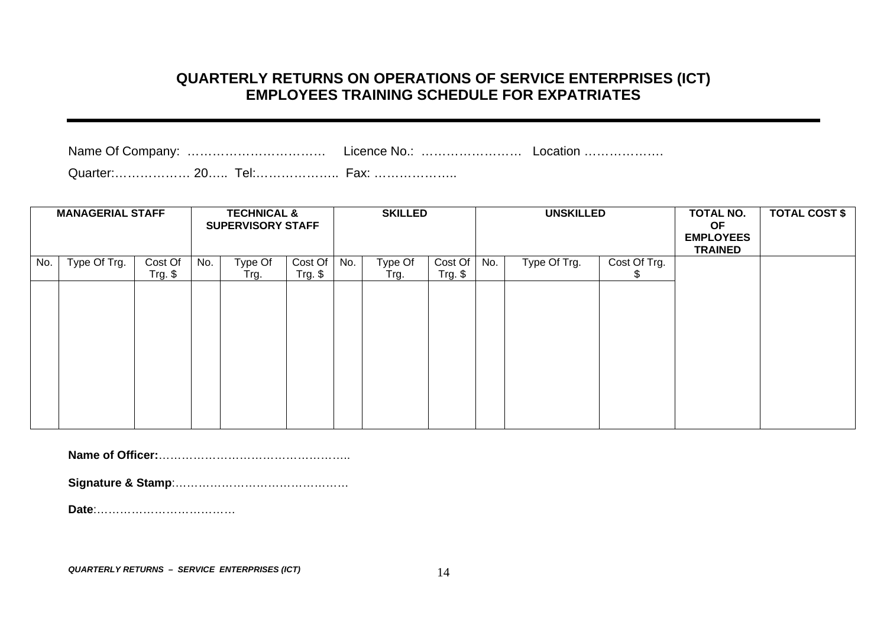#### **QUARTERLY RETURNS ON OPERATIONS OF SERVICE ENTERPRISES (ICT) EMPLOYEES TRAINING SCHEDULE FOR EXPATRIATES**

Name Of Company: …………………………………………… Licence No.: ………………………………………………………………………………………

Quarter:……………… 20….. Tel:……………….. Fax: ………………..

|     | <b>MANAGERIAL STAFF</b> |           | <b>TECHNICAL &amp;</b><br><b>SUPERVISORY STAFF</b> |         |            | <b>SKILLED</b> |         | <b>UNSKILLED</b> |     | <b>TOTAL NO.</b><br><b>OF</b> | <b>TOTAL COST \$</b> |                                    |  |
|-----|-------------------------|-----------|----------------------------------------------------|---------|------------|----------------|---------|------------------|-----|-------------------------------|----------------------|------------------------------------|--|
|     |                         |           |                                                    |         |            |                |         |                  |     |                               |                      | <b>EMPLOYEES</b><br><b>TRAINED</b> |  |
| No. | Type Of Trg.            | Cost Of   | No.                                                | Type Of | Cost Of    | No.            | Type Of | Cost Of          | No. | Type Of Trg.                  | Cost Of Trg.         |                                    |  |
|     |                         | $Trg.$ \$ |                                                    | Trg.    | $Trg.$ $$$ |                | Trg.    | $Trg.$ \$        |     |                               | S.                   |                                    |  |
|     |                         |           |                                                    |         |            |                |         |                  |     |                               |                      |                                    |  |
|     |                         |           |                                                    |         |            |                |         |                  |     |                               |                      |                                    |  |
|     |                         |           |                                                    |         |            |                |         |                  |     |                               |                      |                                    |  |
|     |                         |           |                                                    |         |            |                |         |                  |     |                               |                      |                                    |  |
|     |                         |           |                                                    |         |            |                |         |                  |     |                               |                      |                                    |  |
|     |                         |           |                                                    |         |            |                |         |                  |     |                               |                      |                                    |  |
|     |                         |           |                                                    |         |            |                |         |                  |     |                               |                      |                                    |  |
|     |                         |           |                                                    |         |            |                |         |                  |     |                               |                      |                                    |  |
|     |                         |           |                                                    |         |            |                |         |                  |     |                               |                      |                                    |  |

**Name of Officer:**…………………………………………..

**Signature & Stamp**:………………………………………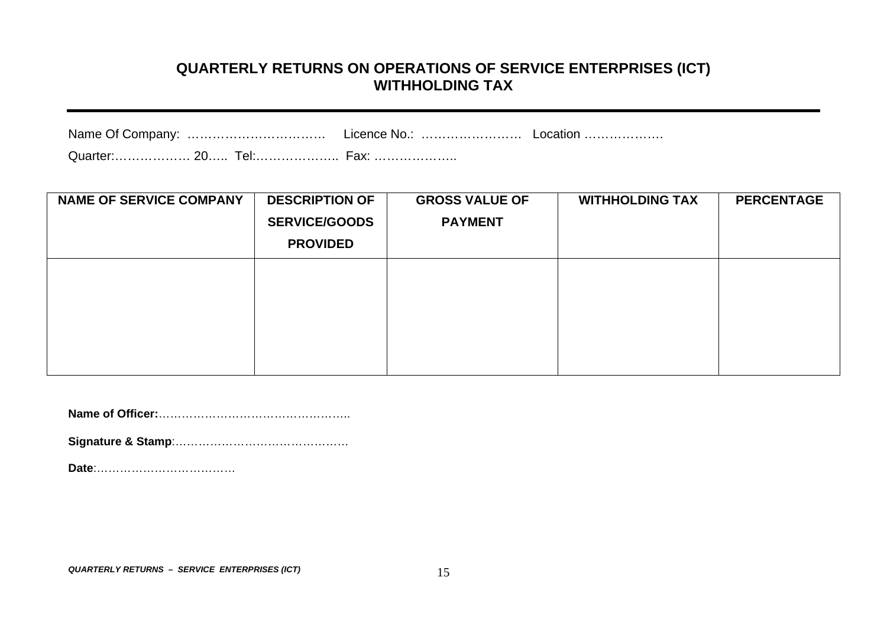#### **QUARTERLY RETURNS ON OPERATIONS OF SERVICE ENTERPRISES (ICT) WITHHOLDING TAX**

| Name Of Company: | Licence No.: | ∟ocation ……………… |
|------------------|--------------|-----------------|
|                  |              |                 |

Quarter:……………… 20….. Tel:……………….. Fax: ………………..

| <b>NAME OF SERVICE COMPANY</b> | <b>DESCRIPTION OF</b><br><b>SERVICE/GOODS</b><br><b>PROVIDED</b> | <b>GROSS VALUE OF</b><br><b>PAYMENT</b> | <b>WITHHOLDING TAX</b> | <b>PERCENTAGE</b> |
|--------------------------------|------------------------------------------------------------------|-----------------------------------------|------------------------|-------------------|
|                                |                                                                  |                                         |                        |                   |

**Name of Officer:**…………………………………………..

**Signature & Stamp**:…………… …………… ……………